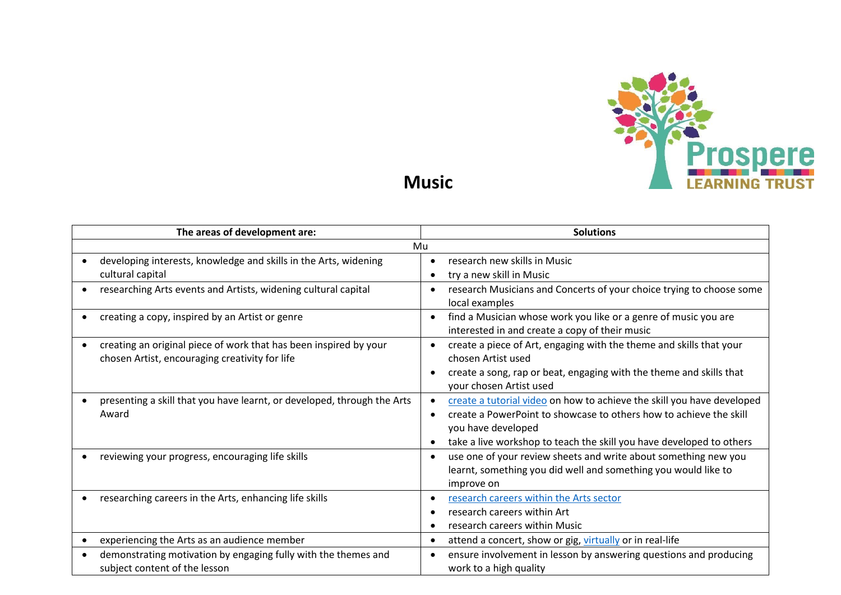

**Music**

| The areas of development are: |                                                                                                                     |   | <b>Solutions</b>                                                                                                                                                                                                                           |  |
|-------------------------------|---------------------------------------------------------------------------------------------------------------------|---|--------------------------------------------------------------------------------------------------------------------------------------------------------------------------------------------------------------------------------------------|--|
| Mu                            |                                                                                                                     |   |                                                                                                                                                                                                                                            |  |
|                               | developing interests, knowledge and skills in the Arts, widening                                                    |   | research new skills in Music                                                                                                                                                                                                               |  |
| cultural capital              |                                                                                                                     |   | try a new skill in Music                                                                                                                                                                                                                   |  |
|                               | researching Arts events and Artists, widening cultural capital                                                      |   | research Musicians and Concerts of your choice trying to choose some<br>local examples                                                                                                                                                     |  |
|                               | creating a copy, inspired by an Artist or genre                                                                     | ٠ | find a Musician whose work you like or a genre of music you are<br>interested in and create a copy of their music                                                                                                                          |  |
|                               | creating an original piece of work that has been inspired by your<br>chosen Artist, encouraging creativity for life |   | create a piece of Art, engaging with the theme and skills that your<br>chosen Artist used                                                                                                                                                  |  |
|                               |                                                                                                                     |   | create a song, rap or beat, engaging with the theme and skills that<br>your chosen Artist used                                                                                                                                             |  |
| Award                         | presenting a skill that you have learnt, or developed, through the Arts                                             |   | create a tutorial video on how to achieve the skill you have developed<br>create a PowerPoint to showcase to others how to achieve the skill<br>you have developed<br>take a live workshop to teach the skill you have developed to others |  |
|                               | reviewing your progress, encouraging life skills                                                                    |   | use one of your review sheets and write about something new you<br>learnt, something you did well and something you would like to<br>improve on                                                                                            |  |
|                               | researching careers in the Arts, enhancing life skills                                                              |   | research careers within the Arts sector<br>research careers within Art<br>research careers within Music                                                                                                                                    |  |
|                               | experiencing the Arts as an audience member                                                                         |   | attend a concert, show or gig, virtually or in real-life                                                                                                                                                                                   |  |
|                               | demonstrating motivation by engaging fully with the themes and<br>subject content of the lesson                     |   | ensure involvement in lesson by answering questions and producing<br>work to a high quality                                                                                                                                                |  |